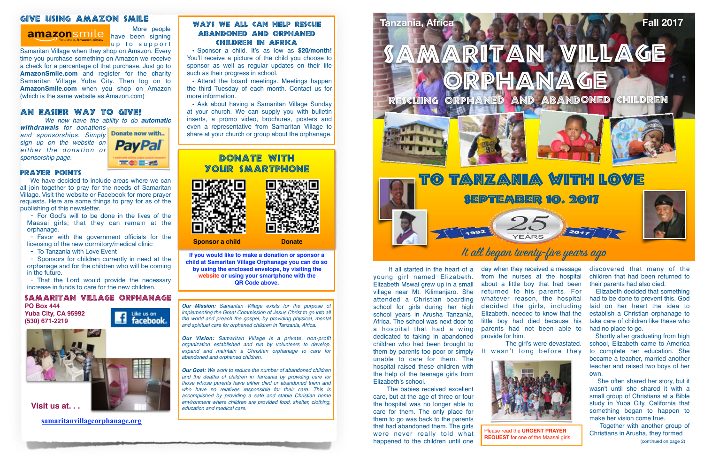#### Give Using Amazon Smile

 More people have been signing up to support



Samaritan Village when they shop on Amazon. Every time you purchase something on Amazon we receive a check for a percentage of that purchase. Just go to **AmazonSmile.com** and register for the charity Samaritan Village Yuba City. Then log on to **AmazonSmile.com** when you shop on Amazon (which is the same website as Amazon.com)

### AN EASIER WAY TO GIVE!

 *We now have the ability to do automatic* 

*withdrawals for donations and sponsorships. Simply sign up on the website on*   $either$  the donation or *sponsorship page.*



#### Prayer Points

We have decided to include areas where we can all join together to pray for the needs of Samaritan Village. Visit the website or Facebook for more prayer requests. Here are some things to pray for as of the publishing of this newsletter.

- For God's will to be done in the lives of the Maasai girls; that they can remain at the orphanage.

- Favor with the government officials for the licensing of the new dormitory/medical clinic

- To Tanzania with Love Event

- Sponsors for children currently in need at the orphanage and for the children who will be coming in the future.

- That the Lord would provide the necessary increase in funds to care for the new children.

 It all started in the heart of a young girl named Elizabeth. Elizabeth Mswai grew up in a small village near Mt. Kilimanjaro. She attended a Christian boarding school for girls during her high school years in Arusha Tanzania, Africa. The school was next door to a hospital that had a wing dedicated to taking in abandoned children who had been brought to them by parents too poor or simply unable to care for them. The hospital raised these children with the help of the teenage girls from Elizabeth's school.

 The babies received excellent care, but at the age of three or four the hospital was no longer able to care for them. The only place for them to go was back to the parents that had abandoned them. The girls were never really told what happened to the children until one

day when they received a message from the nurses at the hospital about a little boy that had been returned to his parents. For whatever reason, the hospital decided the girls, including Elizabeth, needed to know that the little boy had died because his parents had not been able to provide for him. The girl's were devastated.

It wasn't long before they



discovered that many of the children that had been returned to their parents had also died.

 Elizabeth decided that something had to be done to prevent this. God laid on her heart the idea to establish a Christian orphanage to take care of children like these who had no place to go.

 Shortly after graduating from high school, Elizabeth came to America to complete her education. She became a teacher, married another teacher and raised two boys of her own.

 She often shared her story, but it wasn't until she shared it with a small group of Christians at a Bible study in Yuba City, California that something began to happen to make her vision come true.

 Together with another group of Christians in Arusha, they formed



*Our Mission: Samaritan Village exists for the purpose of implementing the Great Commission of Jesus Christ to go into all the world and preach the gospel, by providing physical, mental and spiritual care for orphaned children in Tanzania, Africa.* 

*Our Vision: Samaritan Village is a private, non-profit organization established and run by volunteers to develop, expand and maintain a Christian orphanage to care for abandoned and orphaned children.* 

*Our Goal: We work to reduce the number of abandoned children and the deaths of children in Tanzania by providing care for those whose parents have either died or abandoned them and who have no relatives responsible for their care. This is accomplished by providing a safe and stable Christian home environment where children are provided food, shelter, clothing, education and medical care.*

#### Samaritan Village Orphanage

**PO Box 444 Yuba City, CA 95992 (530) 671-2219**



Like us on<br>**facebook**.

**Visit us at. . .**

# Samaritan Village

**Tanzania, Africa Fall 2017**







**[samaritanvillageorphanage.org](http://samaritanvillageorphanage.org)**

**If you would like to make a donation or sponsor a child at Samaritan Village Orphanage you can do so by using the enclosed envelope, by visiting the website or using your smartphone with the QR Code above.**

#### Ways We All Can Help Rescue Abandoned and Orphaned Children in Africa

• Sponsor a child. It's as low as **\$20/month!** You'll receive a picture of the child you choose to sponsor as well as regular updates on their life such as their progress in school.

• Attend the board meetings. Meetings happen the third Tuesday of each month. Contact us for more information.

• Ask about having a Samaritan Village Sunday at your church. We can supply you with bulletin inserts, a promo video, brochures, posters and even a representative from Samaritan Village to share at your church or group about the orphanage.

## DONATE YOUR SMARTPHONE





**Sponsor a child Donate** 



Please read the **URGENT PRAYER REQUEST** for one of the Maasai girls.